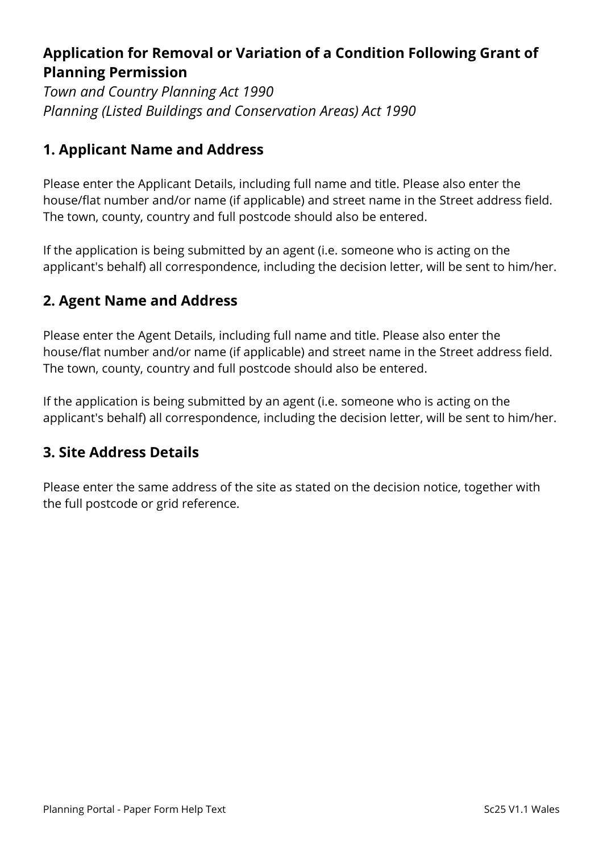# **Application for Removal or Variation of a Condition Following Grant of Planning Permission**

*Town and Country Planning Act 1990 Planning (Listed Buildings and Conservation Areas) Act 1990*

## **1. Applicant Name and Address**

Please enter the Applicant Details, including full name and title. Please also enter the house/flat number and/or name (if applicable) and street name in the Street address field. The town, county, country and full postcode should also be entered.

If the application is being submitted by an agent (i.e. someone who is acting on the applicant's behalf) all correspondence, including the decision letter, will be sent to him/her.

## **2. Agent Name and Address**

Please enter the Agent Details, including full name and title. Please also enter the house/flat number and/or name (if applicable) and street name in the Street address field. The town, county, country and full postcode should also be entered.

If the application is being submitted by an agent (i.e. someone who is acting on the applicant's behalf) all correspondence, including the decision letter, will be sent to him/her.

## **3. Site Address Details**

Please enter the same address of the site as stated on the decision notice, together with the full postcode or grid reference.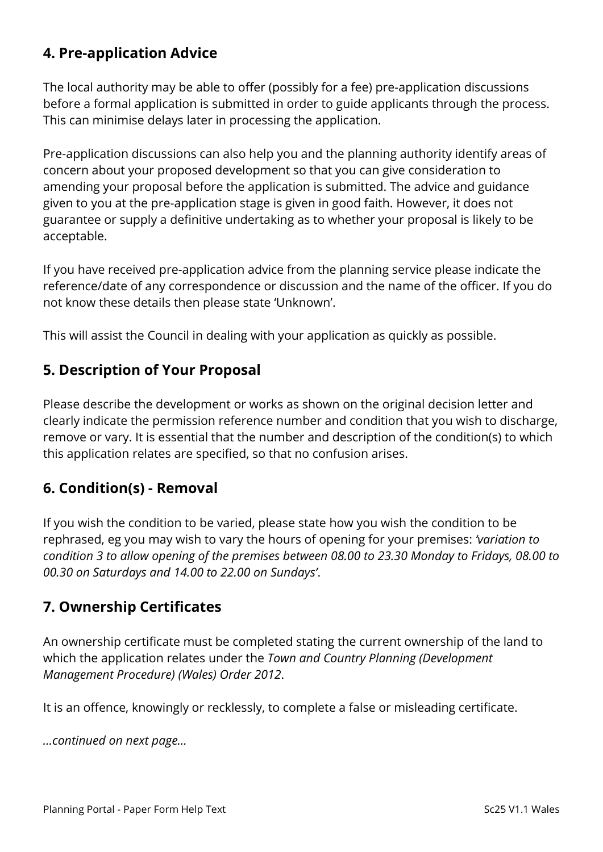## **4. Pre-application Advice**

The local authority may be able to offer (possibly for a fee) pre-application discussions before a formal application is submitted in order to guide applicants through the process. This can minimise delays later in processing the application.

Pre-application discussions can also help you and the planning authority identify areas of concern about your proposed development so that you can give consideration to amending your proposal before the application is submitted. The advice and guidance given to you at the pre-application stage is given in good faith. However, it does not guarantee or supply a definitive undertaking as to whether your proposal is likely to be acceptable.

If you have received pre-application advice from the planning service please indicate the reference/date of any correspondence or discussion and the name of the officer. If you do not know these details then please state 'Unknown'.

This will assist the Council in dealing with your application as quickly as possible.

## **5. Description of Your Proposal**

Please describe the development or works as shown on the original decision letter and clearly indicate the permission reference number and condition that you wish to discharge, remove or vary. It is essential that the number and description of the condition(s) to which this application relates are specified, so that no confusion arises.

### **6. Condition(s) - Removal**

If you wish the condition to be varied, please state how you wish the condition to be rephrased, eg you may wish to vary the hours of opening for your premises: *'variation to condition 3 to allow opening of the premises between 08.00 to 23.30 Monday to Fridays, 08.00 to 00.30 on Saturdays and 14.00 to 22.00 on Sundays'*.

## **7. Ownership Certificates**

An ownership certificate must be completed stating the current ownership of the land to which the application relates under the *Town and Country Planning (Development Management Procedure) (Wales) Order 2012*.

It is an offence, knowingly or recklessly, to complete a false or misleading certificate.

*…continued on next page…*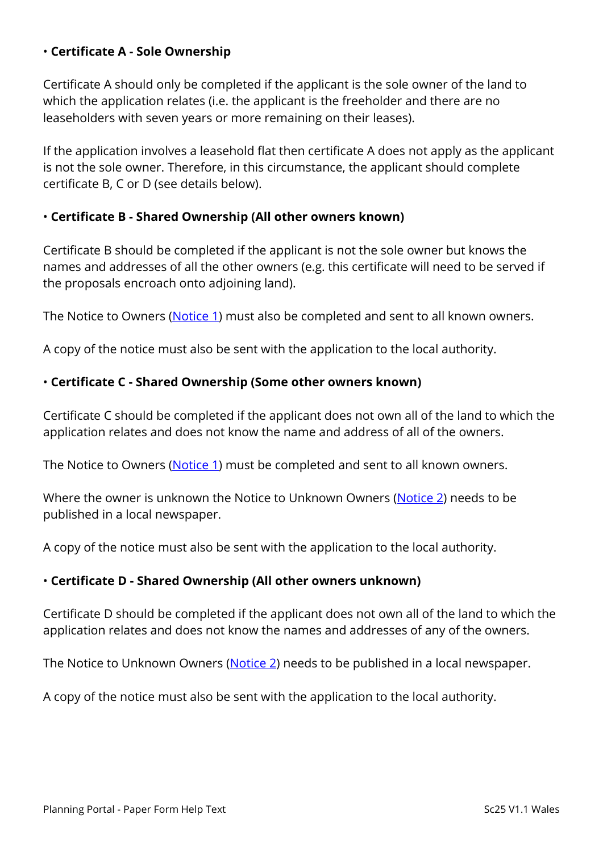#### • **Certificate A - Sole Ownership**

Certificate A should only be completed if the applicant is the sole owner of the land to which the application relates (i.e. the applicant is the freeholder and there are no leaseholders with seven years or more remaining on their leases).

If the application involves a leasehold flat then certificate A does not apply as the applicant is not the sole owner. Therefore, in this circumstance, the applicant should complete certificate B, C or D (see details below).

#### • **Certificate B - Shared Ownership (All other owners known)**

Certificate B should be completed if the applicant is not the sole owner but knows the names and addresses of all the other owners (e.g. this certificate will need to be served if the proposals encroach onto adjoining land).

The Notice to Owners [\(Notice 1\)](https://ecab.planningportal.co.uk/uploads/1app/notices/notice1_wales.pdf) must also be completed and sent to all known owners.

A copy of the notice must also be sent with the application to the local authority.

#### • **Certificate C - Shared Ownership (Some other owners known)**

Certificate C should be completed if the applicant does not own all of the land to which the application relates and does not know the name and address of all of the owners.

The Notice to Owners [\(Notice 1\)](https://ecab.planningportal.co.uk/uploads/1app/notices/notice1_wales.pdf) must be completed and sent to all known owners.

Where the owner is unknown the Notice to Unknown Owners [\(Notice 2\)](https://ecab.planningportal.co.uk/uploads/1app/notices/notice2_wales.pdf) needs to be published in a local newspaper.

A copy of the notice must also be sent with the application to the local authority.

#### • **Certificate D - Shared Ownership (All other owners unknown)**

Certificate D should be completed if the applicant does not own all of the land to which the application relates and does not know the names and addresses of any of the owners.

The Notice to Unknown Owners [\(Notice 2\)](https://ecab.planningportal.co.uk/uploads/1app/notices/notice2_wales.pdf) needs to be published in a local newspaper.

A copy of the notice must also be sent with the application to the local authority.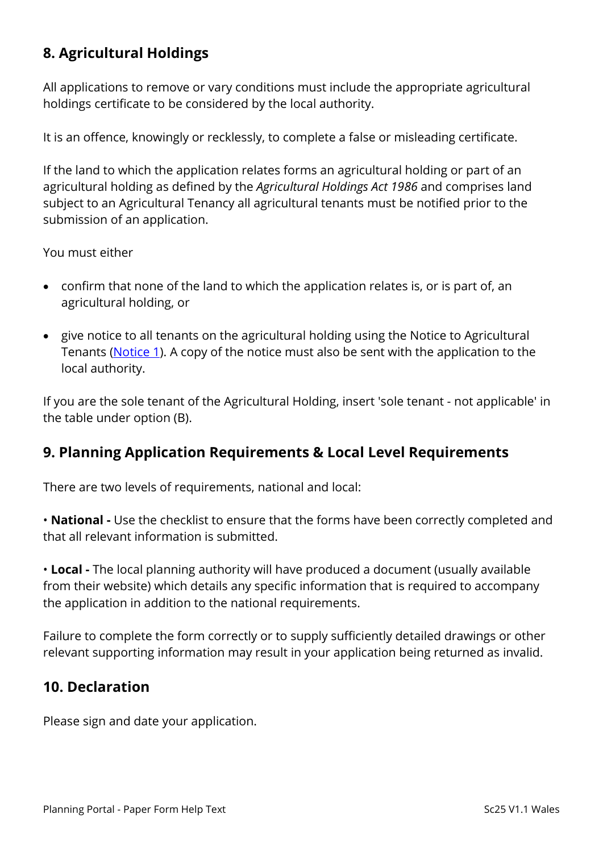# **8. Agricultural Holdings**

All applications to remove or vary conditions must include the appropriate agricultural holdings certificate to be considered by the local authority.

It is an offence, knowingly or recklessly, to complete a false or misleading certificate.

If the land to which the application relates forms an agricultural holding or part of an agricultural holding as defined by the *Agricultural Holdings Act 1986* and comprises land subject to an Agricultural Tenancy all agricultural tenants must be notified prior to the submission of an application.

You must either

- confirm that none of the land to which the application relates is, or is part of, an agricultural holding, or
- give notice to all tenants on the agricultural holding using the Notice to Agricultural Tenants [\(Notice 1\)](https://ecab.planningportal.co.uk/uploads/1app/notices/notice1_wales.pdf). A copy of the notice must also be sent with the application to the local authority.

If you are the sole tenant of the Agricultural Holding, insert 'sole tenant - not applicable' in the table under option (B).

### **9. Planning Application Requirements & Local Level Requirements**

There are two levels of requirements, national and local:

• **National -** Use the checklist to ensure that the forms have been correctly completed and that all relevant information is submitted.

• **Local -** The local planning authority will have produced a document (usually available from their website) which details any specific information that is required to accompany the application in addition to the national requirements.

Failure to complete the form correctly or to supply sufficiently detailed drawings or other relevant supporting information may result in your application being returned as invalid.

### **10. Declaration**

Please sign and date your application.